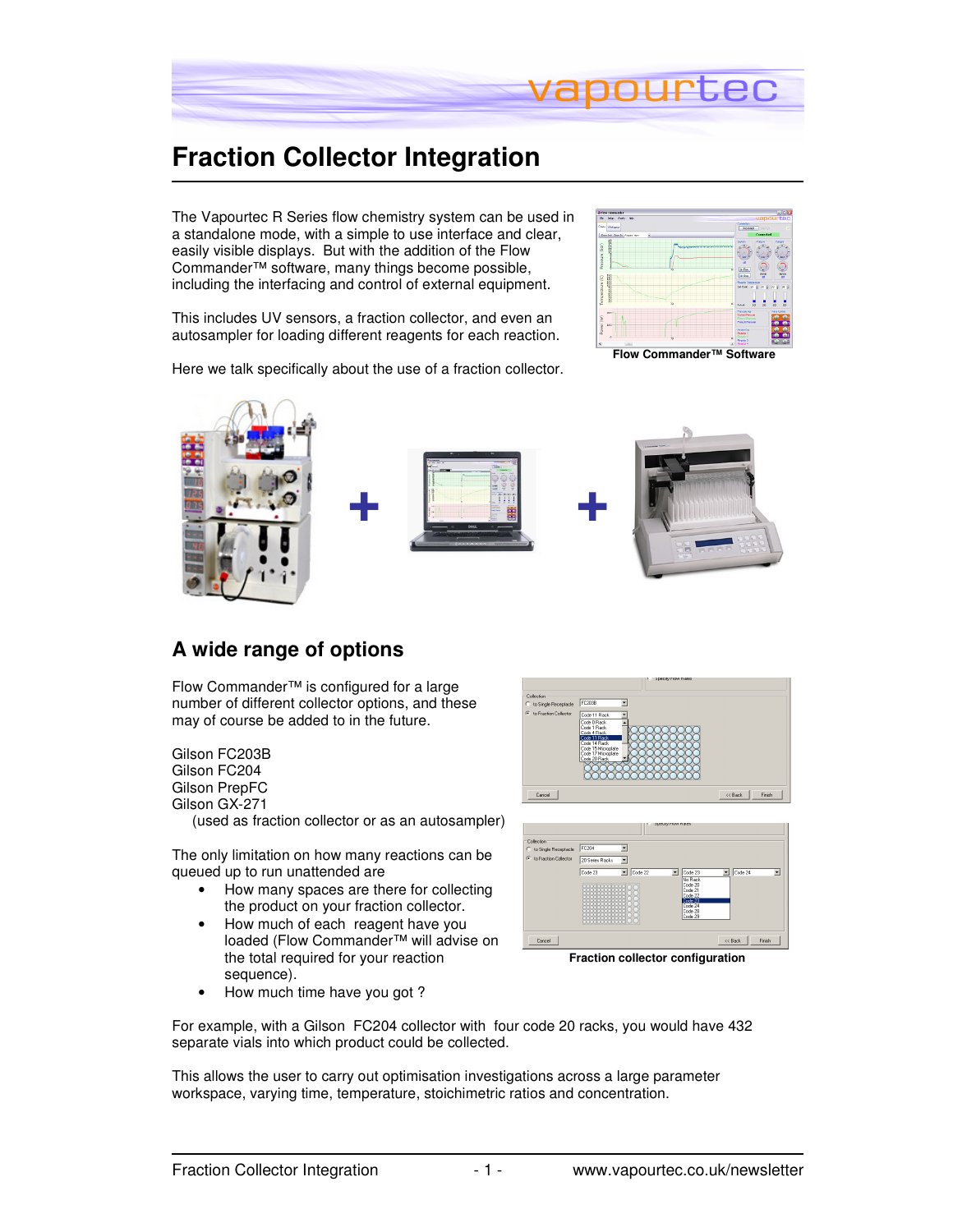

# **Fraction Collector Integration**

The Vapourtec R Series flow chemistry system can be used in a standalone mode, with a simple to use interface and clear, easily visible displays. But with the addition of the Flow Commander™ software, many things become possible, including the interfacing and control of external equipment.

This includes UV sensors, a fraction collector, and even an autosampler for loading different reagents for each reaction.

Here we talk specifically about the use of a fraction collector.



**Flow Commander™ Software** 



#### **A wide range of options**

Flow Commander™ is configured for a large number of different collector options, and these may of course be added to in the future.

Gilson FC203B Gilson FC204 Gilson PrepFC Gilson GX-271 (used as fraction collector or as an autosampler)

The only limitation on how many reactions can be queued up to run unattended are

- How many spaces are there for collecting the product on your fraction collector.
- How much of each reagent have you loaded (Flow Commander™ will advise on the total required for your reaction sequence).





• How much time have you got ?

For example, with a Gilson FC204 collector with four code 20 racks, you would have 432 separate vials into which product could be collected.

This allows the user to carry out optimisation investigations across a large parameter workspace, varying time, temperature, stoichimetric ratios and concentration.